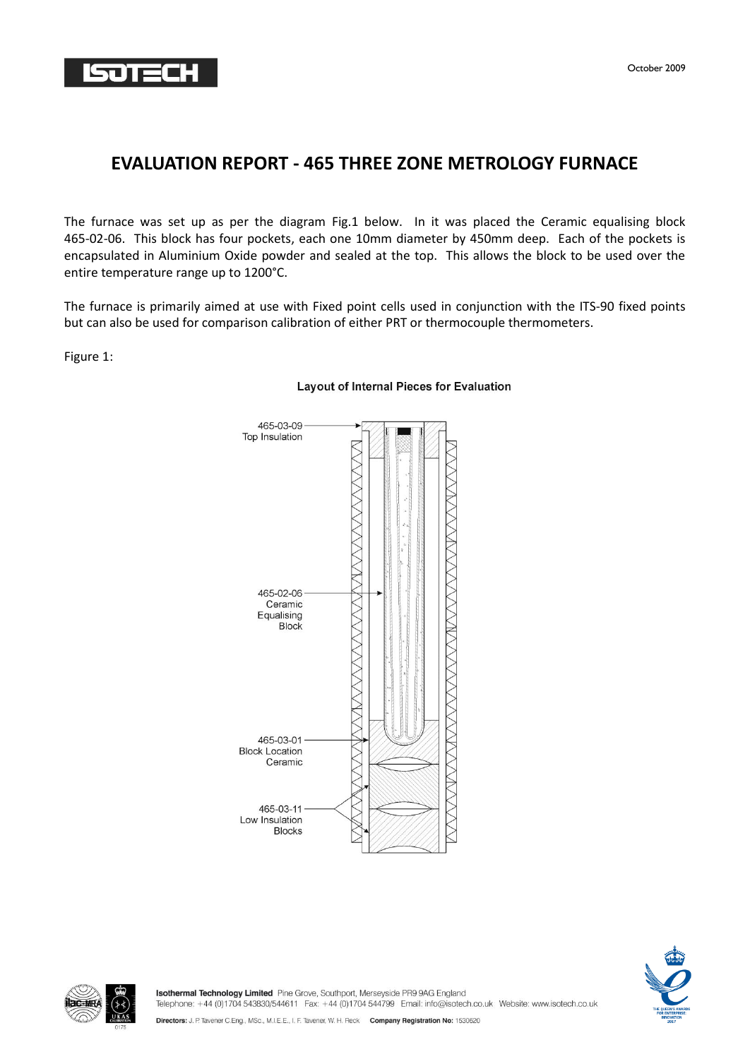

## **EVALUATION REPORT - 465 THREE ZONE METROLOGY FURNACE**

The furnace was set up as per the diagram Fig.1 below. In it was placed the Ceramic equalising block 465-02-06. This block has four pockets, each one 10mm diameter by 450mm deep. Each of the pockets is encapsulated in Aluminium Oxide powder and sealed at the top. This allows the block to be used over the entire temperature range up to 1200°C.

The furnace is primarily aimed at use with Fixed point cells used in conjunction with the ITS-90 fixed points but can also be used for comparison calibration of either PRT or thermocouple thermometers.

Figure 1:



## Layout of Internal Pieces for Evaluation

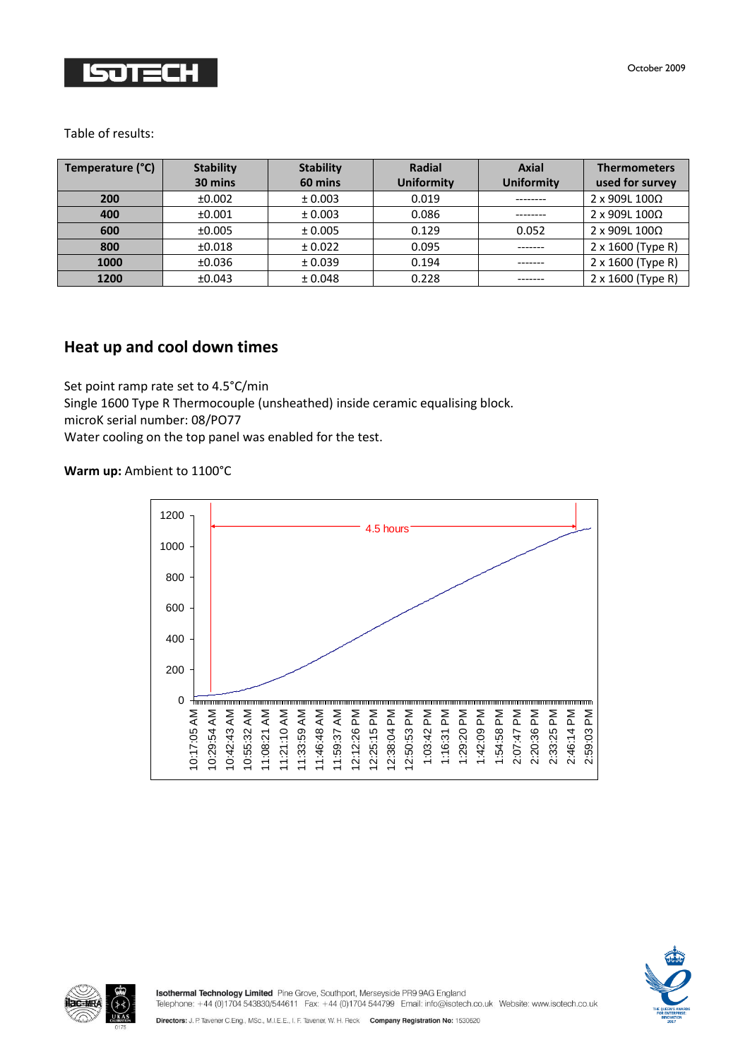

Table of results:

| Temperature (°C) | <b>Stability</b><br>30 mins | <b>Stability</b><br>60 mins | Radial<br><b>Uniformity</b> | Axial<br><b>Uniformity</b> | <b>Thermometers</b><br>used for survey |
|------------------|-----------------------------|-----------------------------|-----------------------------|----------------------------|----------------------------------------|
| 200              | ±0.002                      | ± 0.003                     | 0.019                       |                            | 2 x 909L 100Ω                          |
| 400              | ±0.001                      | ± 0.003                     | 0.086                       | --------                   | 2 x 909L 100Ω                          |
| 600              | ±0.005                      | ± 0.005                     | 0.129                       | 0.052                      | $2 \times 909$ L $100\Omega$           |
| 800              | ±0.018                      | ± 0.022                     | 0.095                       | -------                    | 2 x 1600 (Type R)                      |
| 1000             | ±0.036                      | ± 0.039                     | 0.194                       | -------                    | 2 x 1600 (Type R)                      |
| 1200             | ±0.043                      | ± 0.048                     | 0.228                       | -------                    | 2 x 1600 (Type R)                      |

## **Heat up and cool down times**

Set point ramp rate set to 4.5°C/min Single 1600 Type R Thermocouple (unsheathed) inside ceramic equalising block. microK serial number: 08/PO77 Water cooling on the top panel was enabled for the test.

**Warm up:** Ambient to 1100°C